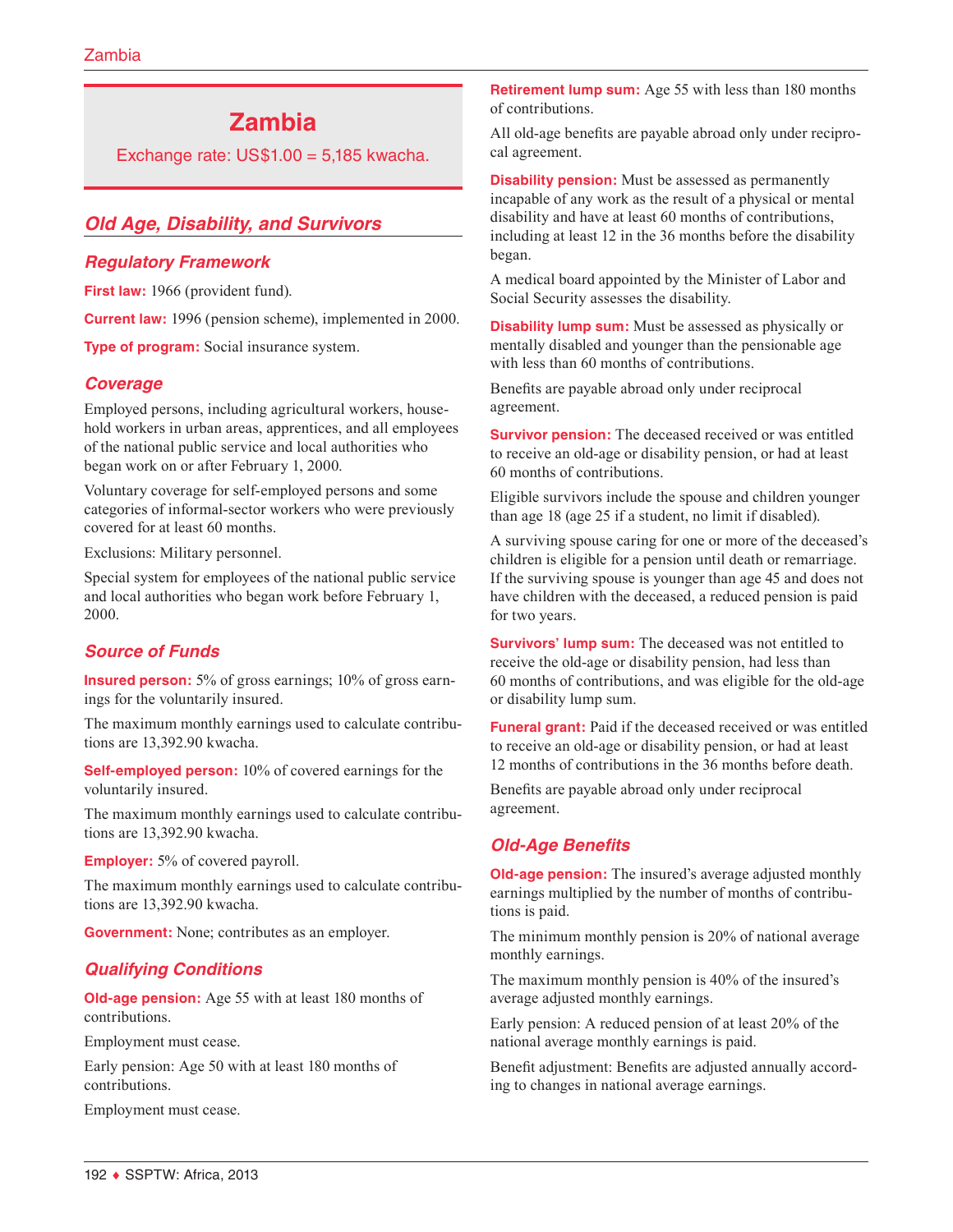# **Zambia**

Exchange rate:  $US$1.00 = 5,185$  kwacha.

# *Old Age, Disability, and Survivors*

## *Regulatory Framework*

First law: 1966 (provident fund).

**Current law:** 1996 (pension scheme), implemented in 2000.

**Type of program:** Social insurance system.

# *Coverage*

Employed persons, including agricultural workers, household workers in urban areas, apprentices, and all employees of the national public service and local authorities who began work on or after February 1, 2000.

Voluntary coverage for self-employed persons and some categories of informal-sector workers who were previously covered for at least 60 months.

Exclusions: Military personnel.

Special system for employees of the national public service and local authorities who began work before February 1, 2000.

# *Source of Funds*

**Insured person:** 5% of gross earnings; 10% of gross earnings for the voluntarily insured.

The maximum monthly earnings used to calculate contributions are 13,392.90 kwacha.

**Self-employed person:** 10% of covered earnings for the voluntarily insured.

The maximum monthly earnings used to calculate contributions are 13,392.90 kwacha.

**Employer:** 5% of covered payroll.

The maximum monthly earnings used to calculate contributions are 13,392.90 kwacha.

**Government:** None; contributes as an employer.

# *Qualifying Conditions*

**Old-age pension:** Age 55 with at least 180 months of contributions.

Employment must cease.

Early pension: Age 50 with at least 180 months of contributions.

Employment must cease.

**Retirement lump sum:** Age 55 with less than 180 months of contributions.

All old-age benefits are payable abroad only under reciprocal agreement.

**Disability pension:** Must be assessed as permanently incapable of any work as the result of a physical or mental disability and have at least 60 months of contributions, including at least 12 in the 36 months before the disability began.

A medical board appointed by the Minister of Labor and Social Security assesses the disability.

**Disability lump sum:** Must be assessed as physically or mentally disabled and younger than the pensionable age with less than 60 months of contributions.

Benefits are payable abroad only under reciprocal agreement.

**Survivor pension:** The deceased received or was entitled to receive an old-age or disability pension, or had at least 60 months of contributions.

Eligible survivors include the spouse and children younger than age 18 (age 25 if a student, no limit if disabled).

A surviving spouse caring for one or more of the deceased's children is eligible for a pension until death or remarriage. If the surviving spouse is younger than age 45 and does not have children with the deceased, a reduced pension is paid for two years.

**Survivors' lump sum:** The deceased was not entitled to receive the old-age or disability pension, had less than 60 months of contributions, and was eligible for the old-age or disability lump sum.

**Funeral grant:** Paid if the deceased received or was entitled to receive an old-age or disability pension, or had at least 12 months of contributions in the 36 months before death.

Benefits are payable abroad only under reciprocal agreement.

# *Old-Age Benefits*

**Old-age pension:** The insured's average adjusted monthly earnings multiplied by the number of months of contributions is paid.

The minimum monthly pension is 20% of national average monthly earnings.

The maximum monthly pension is 40% of the insured's average adjusted monthly earnings.

Early pension: A reduced pension of at least 20% of the national average monthly earnings is paid.

Benefit adjustment: Benefits are adjusted annually according to changes in national average earnings.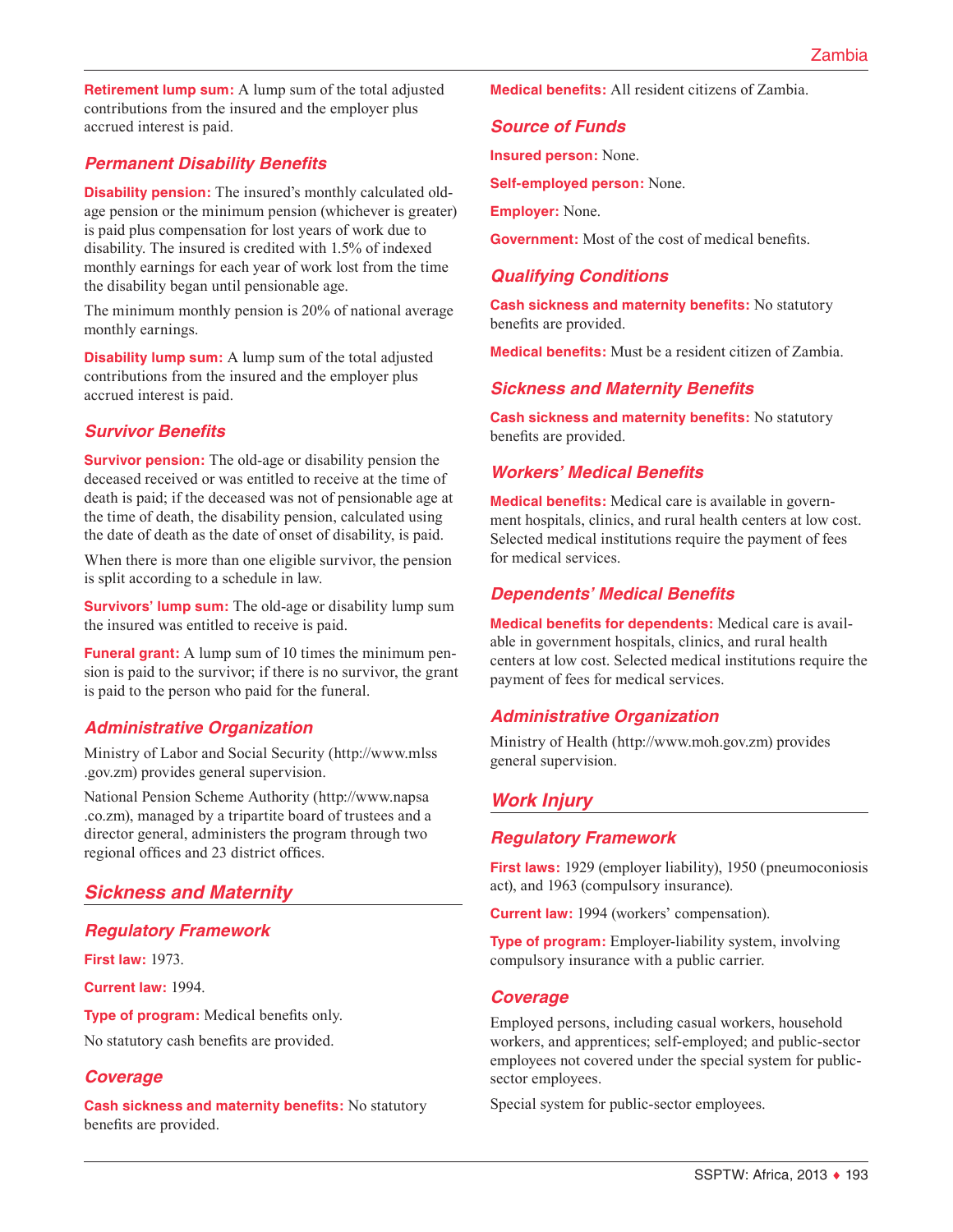**Retirement lump sum:** A lump sum of the total adjusted contributions from the insured and the employer plus accrued interest is paid.

# *Permanent Disability Benefits*

**Disability pension:** The insured's monthly calculated oldage pension or the minimum pension (whichever is greater) is paid plus compensation for lost years of work due to disability. The insured is credited with 1.5% of indexed monthly earnings for each year of work lost from the time the disability began until pensionable age.

The minimum monthly pension is 20% of national average monthly earnings.

**Disability lump sum:** A lump sum of the total adjusted contributions from the insured and the employer plus accrued interest is paid.

#### *Survivor Benefits*

**Survivor pension:** The old-age or disability pension the deceased received or was entitled to receive at the time of death is paid; if the deceased was not of pensionable age at the time of death, the disability pension, calculated using the date of death as the date of onset of disability, is paid.

When there is more than one eligible survivor, the pension is split according to a schedule in law.

**Survivors' lump sum:** The old-age or disability lump sum the insured was entitled to receive is paid.

**Funeral grant:** A lump sum of 10 times the minimum pension is paid to the survivor; if there is no survivor, the grant is paid to the person who paid for the funeral.

# *Administrative Organization*

Ministry of Labor and Social Security ([http://www.mlss](http://www.mlss.gov.zm) [.gov.zm\)](http://www.mlss.gov.zm) provides general supervision.

National Pension Scheme Authority ([http://www.napsa](http://www.napsa.co.zm) [.co.zm](http://www.napsa.co.zm)), managed by a tripartite board of trustees and a director general, administers the program through two regional offices and 23 district offices.

# *Sickness and Maternity*

#### *Regulatory Framework*

**First law:** 1973.

**Current law:** 1994.

**Type of program:** Medical benefits only. No statutory cash benefits are provided.

# *Coverage*

**Cash sickness and maternity benefits:** No statutory benefits are provided.

**Medical benefits:** All resident citizens of Zambia.

#### *Source of Funds*

**Insured person:** None.

**Self-employed person:** None.

**Employer:** None.

**Government:** Most of the cost of medical benefits.

## *Qualifying Conditions*

**Cash sickness and maternity benefits:** No statutory benefits are provided.

**Medical benefits:** Must be a resident citizen of Zambia.

#### *Sickness and Maternity Benefits*

**Cash sickness and maternity benefits:** No statutory benefits are provided.

#### *Workers' Medical Benefits*

**Medical benefits:** Medical care is available in government hospitals, clinics, and rural health centers at low cost. Selected medical institutions require the payment of fees for medical services.

# *Dependents' Medical Benefits*

**Medical benefits for dependents:** Medical care is available in government hospitals, clinics, and rural health centers at low cost. Selected medical institutions require the payment of fees for medical services.

#### *Administrative Organization*

Ministry of Health (<http://www.moh.gov.zm>) provides general supervision.

# *Work Injury*

#### *Regulatory Framework*

**First laws:** 1929 (employer liability), 1950 (pneumoconiosis act), and 1963 (compulsory insurance).

**Current law:** 1994 (workers' compensation).

**Type of program:** Employer-liability system, involving compulsory insurance with a public carrier.

#### *Coverage*

Employed persons, including casual workers, household workers, and apprentices; self-employed; and public-sector employees not covered under the special system for publicsector employees.

Special system for public-sector employees.